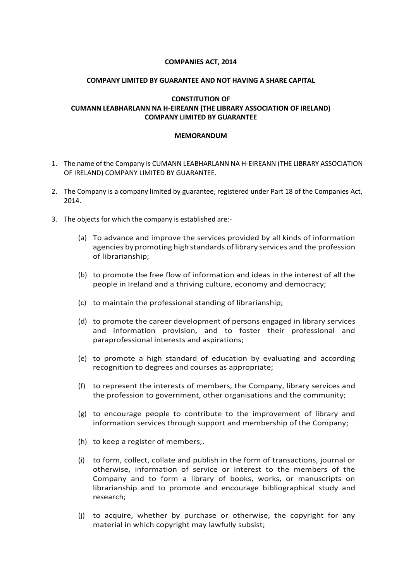## **COMPANIES ACT, 2014**

## **COMPANY LIMITED BY GUARANTEE AND NOT HAVING A SHARE CAPITAL**

# **CONSTITUTION OF CUMANN LEABHARLANN NA H-EIREANN (THE LIBRARY ASSOCIATION OF IRELAND) COMPANY LIMITED BY GUARANTEE**

#### **MEMORANDUM**

- 1. The name of the Company is CUMANN LEABHARLANN NA H-EIREANN (THE LIBRARY ASSOCIATION OF IRELAND) COMPANY LIMITED BY GUARANTEE.
- 2. The Company is a company limited by guarantee, registered under Part 18 of the Companies Act, 2014.
- 3. The objects for which the company is established are:-
	- (a) To advance and improve the services provided by all kinds of information agencies bypromoting high standards oflibrary services and the profession of librarianship;
	- (b) to promote the free flow of information and ideas in the interest of all the people in Ireland and a thriving culture, economy and democracy;
	- (c) to maintain the professional standing of librarianship;
	- (d) to promote the career development of persons engaged in library services and information provision, and to foster their professional and paraprofessional interests and aspirations;
	- (e) to promote a high standard of education by evaluating and according recognition to degrees and courses as appropriate;
	- (f) to represent the interests of members, the Company, library services and the profession to government, other organisations and the community;
	- (g) to encourage people to contribute to the improvement of library and information services through support and membership of the Company;
	- (h) to keep a register of members;.
	- (i) to form, collect, collate and publish in the form of transactions, journal or otherwise, information of service or interest to the members of the Company and to form a library of books, works, or manuscripts on librarianship and to promote and encourage bibliographical study and research;
	- (j) to acquire, whether by purchase or otherwise, the copyright for any material in which copyright may lawfully subsist;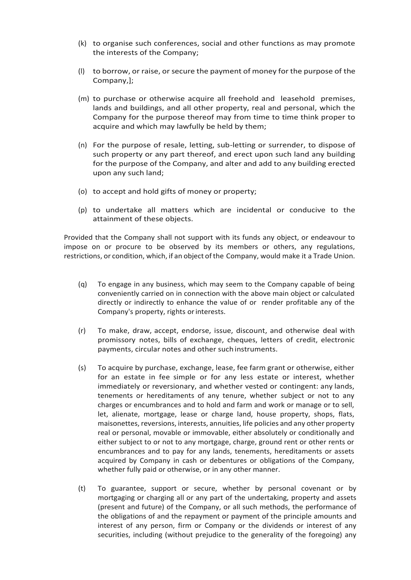- (k) to organise such conferences, social and other functions as may promote the interests of the Company;
- (l) to borrow, or raise, or secure the payment of money for the purpose of the Company,];
- (m) to purchase or otherwise acquire all freehold and leasehold premises, lands and buildings, and all other property, real and personal, which the Company for the purpose thereof may from time to time think proper to acquire and which may lawfully be held by them;
- (n) For the purpose of resale, letting, sub-letting or surrender, to dispose of such property or any part thereof, and erect upon such land any building for the purpose of the Company, and alter and add to any building erected upon any such land;
- (o) to accept and hold gifts of money or property;
- (p) to undertake all matters which are incidental or conducive to the attainment of these objects.

Provided that the Company shall not support with its funds any object, or endeavour to impose on or procure to be observed by its members or others, any regulations, restrictions, or condition, which, if an object ofthe Company, would make it a Trade Union.

- (q) To engage in any business, which may seem to the Company capable of being conveniently carried on in connection with the above main object or calculated directly or indirectly to enhance the value of or render profitable any of the Company's property, rights orinterests.
- (r) To make, draw, accept, endorse, issue, discount, and otherwise deal with promissory notes, bills of exchange, cheques, letters of credit, electronic payments, circular notes and other such instruments.
- (s) To acquire by purchase, exchange, lease, fee farm grant or otherwise, either for an estate in fee simple or for any less estate or interest, whether immediately or reversionary, and whether vested or contingent: any lands, tenements or hereditaments of any tenure, whether subject or not to any charges or encumbrances and to hold and farm and work or manage or to sell, let, alienate, mortgage, lease or charge land, house property, shops, flats, maisonettes, reversions, interests, annuities, life policies and any other property real or personal, movable or immovable, either absolutely or conditionally and either subject to or not to any mortgage, charge, ground rent or other rents or encumbrances and to pay for any lands, tenements, hereditaments or assets acquired by Company in cash or debentures or obligations of the Company, whether fully paid or otherwise, or in any other manner.
- (t) To guarantee, support or secure, whether by personal covenant or by mortgaging or charging all or any part of the undertaking, property and assets (present and future) of the Company, or all such methods, the performance of the obligations of and the repayment or payment of the principle amounts and interest of any person, firm or Company or the dividends or interest of any securities, including (without prejudice to the generality of the foregoing) any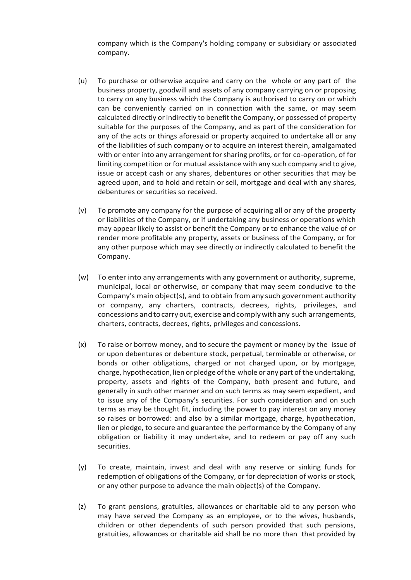company which is the Company's holding company or subsidiary or associated company.

- (u) To purchase or otherwise acquire and carry on the whole or any part of the business property, goodwill and assets of any company carrying on or proposing to carry on any business which the Company is authorised to carry on or which can be conveniently carried on in connection with the same, or may seem calculated directly or indirectly to benefit the Company, or possessed of property suitable for the purposes of the Company, and as part of the consideration for any of the acts or things aforesaid or property acquired to undertake all or any of the liabilities of such company or to acquire an interest therein, amalgamated with or enter into any arrangement for sharing profits, or for co-operation, of for limiting competition or for mutual assistance with any such company and to give, issue or accept cash or any shares, debentures or other securities that may be agreed upon, and to hold and retain or sell, mortgage and deal with any shares, debentures or securities so received.
- (v) To promote any company for the purpose of acquiring all or any of the property or liabilities of the Company, or if undertaking any business or operations which may appear likely to assist or benefit the Company or to enhance the value of or render more profitable any property, assets or business of the Company, or for any other purpose which may see directly or indirectly calculated to benefit the Company.
- (w) To enter into any arrangements with any government or authority, supreme, municipal, local or otherwise, or company that may seem conducive to the Company's main object(s), and to obtain from any such governmentauthority or company, any charters, contracts, decrees, rights, privileges, and concessions andtocarryout,exercise andcomplywithany such arrangements, charters, contracts, decrees, rights, privileges and concessions.
- (x) To raise or borrow money, and to secure the payment or money by the issue of or upon debentures or debenture stock, perpetual, terminable or otherwise, or bonds or other obligations, charged or not charged upon, or by mortgage, charge, hypothecation, lien or pledge of the whole or any part of the undertaking, property, assets and rights of the Company, both present and future, and generally in such other manner and on such terms as may seem expedient, and to issue any of the Company's securities. For such consideration and on such terms as may be thought fit, including the power to pay interest on any money so raises or borrowed: and also by a similar mortgage, charge, hypothecation, lien or pledge, to secure and guarantee the performance by the Company of any obligation or liability it may undertake, and to redeem or pay off any such securities.
- (y) To create, maintain, invest and deal with any reserve or sinking funds for redemption of obligations of the Company, or for depreciation of works or stock, or any other purpose to advance the main object(s) of the Company.
- (z) To grant pensions, gratuities, allowances or charitable aid to any person who may have served the Company as an employee, or to the wives, husbands, children or other dependents of such person provided that such pensions, gratuities, allowances or charitable aid shall be no more than that provided by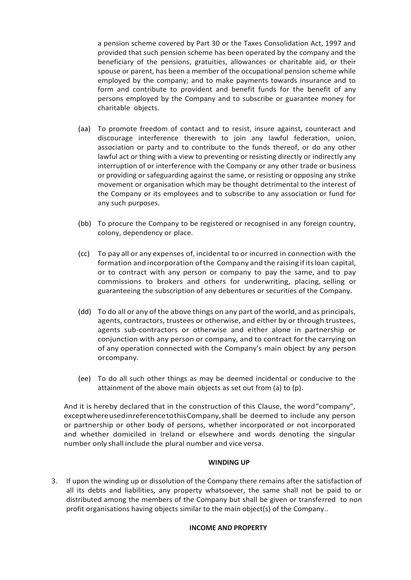a pension scheme covered by Part 30 or the Taxes Consolidation Act, 1997 and provided that such pension scheme has been operated by the company and the beneficiary of the pensions, gratuities, allowances or charitable aid, or their spouse or parent, has been a member of the occupational pension scheme while employed by the company; and to make payments towards insurance and to form and contribute to provident and benefit funds for the benefit of any persons employed by the Company and to subscribe or guarantee money for charitable objects.

- (aa) To promote freedom of contact and to resist, insure against, counteract and discourage interference therewith to join any lawful federation, union, association or party and to contribute to the funds thereof, or do any other lawful act or thing with a view to preventing or resisting directly or indirectly any interruption of or interference with the Company or any other trade or business or providing or safeguarding against the same, or resisting or opposing any strike movement or organisation which may be thought detrimental to the interest of the Company or its employees and to subscribe to any association or fund for any such purposes.
- (bb) To procure the Company to be registered or recognised in any foreign country, colony, dependency or place.
- (cc) To pay all or any expenses of, incidental to or incurred in connection with the formation and incorporation ofthe Company and the raising ifitsloan capital, or to contract with any person or company to pay the same, and to pay commissions to brokers and others for underwriting, placing, selling or guaranteeing the subscription of any debentures or securities of the Company.
- (dd) To do all or any of the above things on any part of the world, and as principals, agents, contractors, trustees or otherwise, and either by or through trustees, agents sub-contractors or otherwise and either alone in partnership or conjunction with any person or company, and to contract for the carrying on of any operation connected with the Company's main object by any person orcompany.
- (ee) To do all such other things as may be deemed incidental or conducive to the attainment of the above main objects as set out from (a) to (p).

And it is hereby declared that in the construction of this Clause, the word"company", exceptwhereusedinreferencetothisCompany,shall be deemed to include any person or partnership or other body of persons, whether incorporated or not incorporated and whether domiciled in Ireland or elsewhere and words denoting the singular number only shall include the plural number and vice versa.

## **WINDING UP**

3. If upon the winding up or dissolution of the Company there remains after the satisfaction of all its debts and liabilities, any property whatsoever, the same shall not be paid to or distributed among the members of the Company but shall be given or transferred to non profit organisations having objects similar to the main object(s) of the Company..

#### **INCOME AND PROPERTY**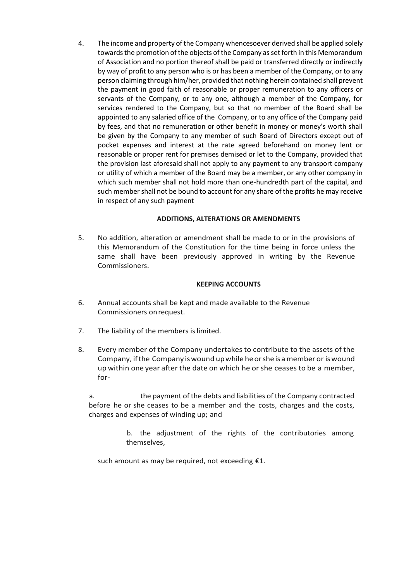4. The income and property of the Company whencesoever derived shall be applied solely towards the promotion of the objects of the Company asset forth in this Memorandum of Association and no portion thereof shall be paid or transferred directly or indirectly by way of profit to any person who is or has been a member of the Company, or to any person claiming through him/her, provided that nothing herein contained shall prevent the payment in good faith of reasonable or proper remuneration to any officers or servants of the Company, or to any one, although a member of the Company, for services rendered to the Company, but so that no member of the Board shall be appointed to any salaried office of the Company, or to any office of the Company paid by fees, and that no remuneration or other benefit in money or money's worth shall be given by the Company to any member of such Board of Directors except out of pocket expenses and interest at the rate agreed beforehand on money lent or reasonable or proper rent for premises demised or let to the Company, provided that the provision last aforesaid shall not apply to any payment to any transport company or utility of which a member of the Board may be a member, or any other company in which such member shall not hold more than one-hundredth part of the capital, and such member shall not be bound to account for any share of the profits he may receive in respect of any such payment

# **ADDITIONS, ALTERATIONS OR AMENDMENTS**

5. No addition, alteration or amendment shall be made to or in the provisions of this Memorandum of the Constitution for the time being in force unless the same shall have been previously approved in writing by the Revenue Commissioners.

# **KEEPING ACCOUNTS**

- 6. Annual accounts shall be kept and made available to the Revenue Commissioners onrequest.
- 7. The liability of the members is limited.
- 8. Every member of the Company undertakes to contribute to the assets of the Company, ifthe Company iswound upwhile heorshe isamember or iswound up within one year after the date on which he or she ceases to be a member, for-

a. the payment of the debts and liabilities of the Company contracted before he or she ceases to be a member and the costs, charges and the costs, charges and expenses of winding up; and

> b. the adjustment of the rights of the contributories among themselves,

such amount as may be required, not exceeding  $E1$ .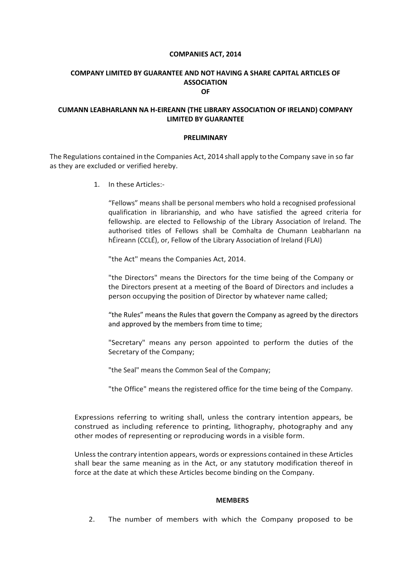#### **COMPANIES ACT, 2014**

#### **COMPANY LIMITED BY GUARANTEE AND NOT HAVING A SHARE CAPITAL ARTICLES OF ASSOCIATION OF**

## **CUMANN LEABHARLANN NA H-EIREANN (THE LIBRARY ASSOCIATION OF IRELAND) COMPANY LIMITED BY GUARANTEE**

#### **PRELIMINARY**

The Regulations contained in the Companies Act, 2014 shall apply to the Company save in so far as they are excluded or verified hereby.

1. In these Articles:-

"Fellows" means shall be personal members who hold a recognised professional qualification in librarianship, and who have satisfied the agreed criteria for fellowship. are elected to Fellowship of the Library Association of Ireland. The authorised titles of Fellows shall be Comhalta de Chumann Leabharlann na hÉireann (CCLÉ), or, Fellow of the Library Association of Ireland (FLAI)

"the Act" means the Companies Act, 2014.

"the Directors" means the Directors for the time being of the Company or the Directors present at a meeting of the Board of Directors and includes a person occupying the position of Director by whatever name called;

"the Rules" means the Rules that govern the Company as agreed by the directors and approved by the members from time to time;

"Secretary" means any person appointed to perform the duties of the Secretary of the Company;

"the Seal" means the Common Seal of the Company;

"the Office" means the registered office for the time being of the Company.

Expressions referring to writing shall, unless the contrary intention appears, be construed as including reference to printing, lithography, photography and any other modes of representing or reproducing words in a visible form.

Unless the contrary intention appears, words or expressions contained in these Articles shall bear the same meaning as in the Act, or any statutory modification thereof in force at the date at which these Articles become binding on the Company.

#### **MEMBERS**

2. The number of members with which the Company proposed to be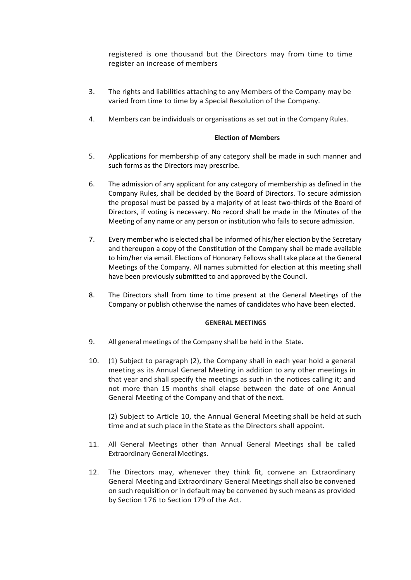registered is one thousand but the Directors may from time to time register an increase of members

- 3. The rights and liabilities attaching to any Members of the Company may be varied from time to time by a Special Resolution of the Company.
- 4. Members can be individuals or organisations as set out in the Company Rules.

#### **Election of Members**

- 5. Applications for membership of any category shall be made in such manner and such forms as the Directors may prescribe.
- 6. The admission of any applicant for any category of membership as defined in the Company Rules, shall be decided by the Board of Directors. To secure admission the proposal must be passed by a majority of at least two-thirds of the Board of Directors, if voting is necessary. No record shall be made in the Minutes of the Meeting of any name or any person or institution who fails to secure admission.
- 7. Every member who is elected shall be informed of his/her election by the Secretary and thereupon a copy of the Constitution of the Company shall be made available to him/her via email. Elections of Honorary Fellows shall take place at the General Meetings of the Company. All names submitted for election at this meeting shall have been previously submitted to and approved by the Council.
- 8. The Directors shall from time to time present at the General Meetings of the Company or publish otherwise the names of candidates who have been elected.

#### **GENERAL MEETINGS**

- 9. All general meetings of the Company shall be held in the State.
- 10. (1) Subject to paragraph (2), the Company shall in each year hold a general meeting as its Annual General Meeting in addition to any other meetings in that year and shall specify the meetings as such in the notices calling it; and not more than 15 months shall elapse between the date of one Annual General Meeting of the Company and that of the next.

(2) Subject to Article 10, the Annual General Meeting shall be held at such time and at such place in the State as the Directors shall appoint.

- 11. All General Meetings other than Annual General Meetings shall be called Extraordinary General Meetings.
- 12. The Directors may, whenever they think fit, convene an Extraordinary General Meeting and Extraordinary General Meetings shall also be convened on such requisition or in default may be convened by such means as provided by Section 176 to Section 179 of the Act.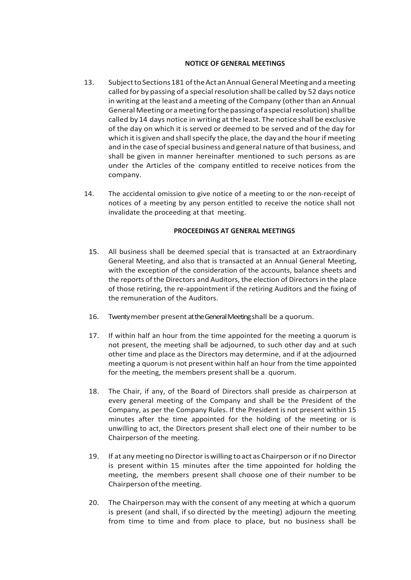#### **NOTICE OF GENERAL MEETINGS**

- 13. SubjecttoSections181 oftheActanAnnualGeneral Meetingandameeting called for by passing of a special resolution shall be called by 52 days notice in writing at the least and a meeting of the Company (other than an Annual General Meeting or a meeting for the passing of a special resolution) shall be called by 14 days notice in writing at the least. The notice shall be exclusive of the day on which it is served or deemed to be served and of the day for which it is given and shall specify the place, the day and the hour if meeting and in the case of special business and general nature of that business, and shall be given in manner hereinafter mentioned to such persons as are under the Articles of the company entitled to receive notices from the company.
- 14. The accidental omission to give notice of a meeting to or the non-receipt of notices of a meeting by any person entitled to receive the notice shall not invalidate the proceeding at that meeting.

## **PROCEEDINGS AT GENERAL MEETINGS**

- 15. All business shall be deemed special that is transacted at an Extraordinary General Meeting, and also that is transacted at an Annual General Meeting, with the exception of the consideration of the accounts, balance sheets and the reports of the Directors and Auditors, the election of Directors in the place of those retiring, the re-appointment if the retiring Auditors and the fixing of the remuneration of the Auditors.
- 16. Twenty member present at the General Meeting shall be a quorum.
- 17. If within half an hour from the time appointed for the meeting a quorum is not present, the meeting shall be adjourned, to such other day and at such other time and place as the Directors may determine, and if at the adjourned meeting a quorum is not present within half an hour from the time appointed for the meeting, the members present shall be a quorum.
- 18. The Chair, if any, of the Board of Directors shall preside as chairperson at every general meeting of the Company and shall be the President of the Company, as per the Company Rules. If the President is not present within 15 minutes after the time appointed for the holding of the meeting or is unwilling to act, the Directors present shall elect one of their number to be Chairperson of the meeting.
- 19. If at anymeeting no Directoriswilling toact as Chairperson orif no Director is present within 15 minutes after the time appointed for holding the meeting, the members present shall choose one of their number to be Chairperson ofthe meeting.
- 20. The Chairperson may with the consent of any meeting at which a quorum is present (and shall, if so directed by the meeting) adjourn the meeting from time to time and from place to place, but no business shall be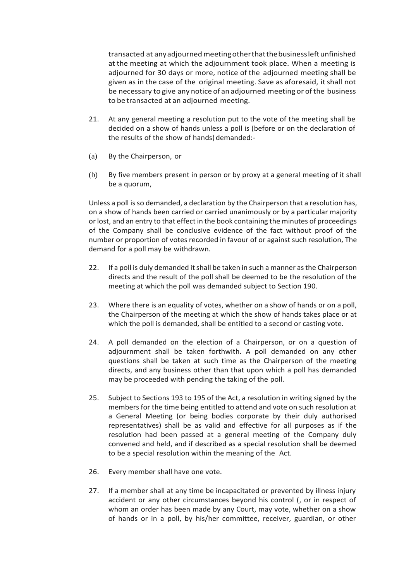transacted at anyadjournedmeetingotherthatthebusinessleftunfinished at the meeting at which the adjournment took place. When a meeting is adjourned for 30 days or more, notice of the adjourned meeting shall be given as in the case of the original meeting. Save as aforesaid, it shall not be necessary to give any notice of an adjourned meeting or ofthe business to be transacted at an adjourned meeting.

- 21. At any general meeting a resolution put to the vote of the meeting shall be decided on a show of hands unless a poll is (before or on the declaration of the results of the show of hands) demanded:-
- (a) By the Chairperson, or
- (b) By five members present in person or by proxy at a general meeting of it shall be a quorum,

Unless a poll is so demanded, a declaration by the Chairperson that a resolution has, on a show of hands been carried or carried unanimously or by a particular majority or lost, and an entry to that effect in the book containing the minutes of proceedings of the Company shall be conclusive evidence of the fact without proof of the number or proportion of votes recorded in favour of or against such resolution, The demand for a poll may be withdrawn.

- 22. If a poll is duly demanded it shall be taken in such a manner as the Chairperson directs and the result of the poll shall be deemed to be the resolution of the meeting at which the poll was demanded subject to Section 190.
- 23. Where there is an equality of votes, whether on a show of hands or on a poll, the Chairperson of the meeting at which the show of hands takes place or at which the poll is demanded, shall be entitled to a second or casting vote.
- 24. A poll demanded on the election of a Chairperson, or on a question of adjournment shall be taken forthwith. A poll demanded on any other questions shall be taken at such time as the Chairperson of the meeting directs, and any business other than that upon which a poll has demanded may be proceeded with pending the taking of the poll.
- 25. Subject to Sections 193 to 195 of the Act, a resolution in writing signed by the members for the time being entitled to attend and vote on such resolution at a General Meeting (or being bodies corporate by their duly authorised representatives) shall be as valid and effective for all purposes as if the resolution had been passed at a general meeting of the Company duly convened and held, and if described as a special resolution shall be deemed to be a special resolution within the meaning of the Act.
- 26. Every member shall have one vote.
- 27. If a member shall at any time be incapacitated or prevented by illness injury accident or any other circumstances beyond his control (, or in respect of whom an order has been made by any Court, may vote, whether on a show of hands or in a poll, by his/her committee, receiver, guardian, or other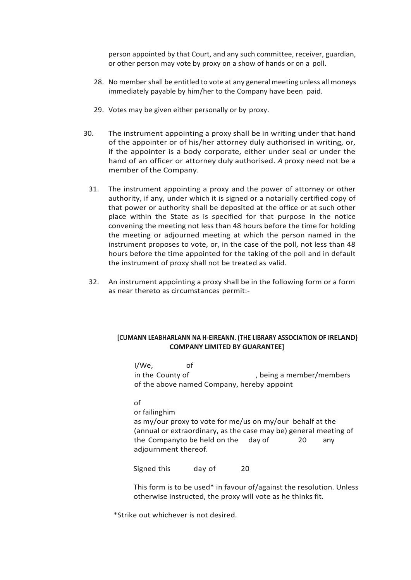person appointed by that Court, and any such committee, receiver, guardian, or other person may vote by proxy on a show of hands or on a poll.

- 28. No member shall be entitled to vote at any general meeting unless all moneys immediately payable by him/her to the Company have been paid.
- 29. Votes may be given either personally or by proxy.
- 30. The instrument appointing a proxy shall be in writing under that hand of the appointer or of his/her attorney duly authorised in writing, or, if the appointer is a body corporate, either under seal or under the hand of an officer or attorney duly authorised. *A* proxy need not be a member of the Company.
- 31. The instrument appointing a proxy and the power of attorney or other authority, if any, under which it is signed or a notarially certified copy of that power or authority shall be deposited at the office or at such other place within the State as is specified for that purpose in the notice convening the meeting not less than 48 hours before the time for holding the meeting or adjourned meeting at which the person named in the instrument proposes to vote, or, in the case of the poll, not less than 48 hours before the time appointed for the taking of the poll and in default the instrument of proxy shall not be treated as valid.
- 32. An instrument appointing a proxy shall be in the following form or a form as near thereto as circumstances permit:-

## **[CUMANN LEABHARLANN NA H-EIREANN. (THE LIBRARY ASSOCIATION OF IRELAND) COMPANY LIMITED BY GUARANTEE]**

I/We, of in the County of , being a member/members of the above named Company, hereby appoint

of

or failinghim as my/our proxy to vote for me/us on my/our behalf at the (annual or extraordinary, as the case may be) general meeting of the Companyto be held on the day of 20 any adjournment thereof.

Signed this day of 20

This form is to be used\* in favour of/against the resolution. Unless otherwise instructed, the proxy will vote as he thinks fit.

\*Strike out whichever is not desired.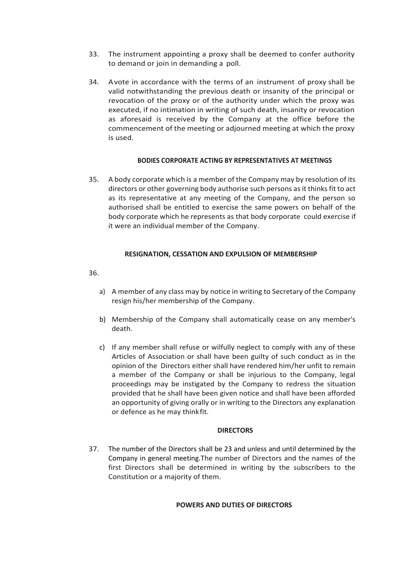- 33. The instrument appointing a proxy shall be deemed to confer authority to demand or join in demanding a poll.
- 34. Avote in accordance with the terms of an instrument of proxy shall be valid notwithstanding the previous death or insanity of the principal or revocation of the proxy or of the authority under which the proxy was executed, if no intimation in writing of such death, insanity or revocation as aforesaid is received by the Company at the office before the commencement of the meeting or adjourned meeting at which the proxy is used.

## **BODIES CORPORATE ACTING BY REPRESENTATIVES AT MEETINGS**

35. A body corporate which is a member of the Company may by resolution of its directors or other governing body authorise such persons as it thinks fit to act as its representative at any meeting of the Company, and the person so authorised shall be entitled to exercise the same powers on behalf of the body corporate which he represents as that body corporate could exercise if it were an individual member of the Company.

# **RESIGNATION, CESSATION AND EXPULSION OF MEMBERSHIP**

36.

- a) A member of any class may by notice in writing to Secretary of the Company resign his/her membership of the Company.
- b) Membership of the Company shall automatically cease on any member's death.
- c) If any member shall refuse or wilfully neglect to comply with any of these Articles of Association or shall have been guilty of such conduct as in the opinion of the Directors either shall have rendered him/her unfit to remain a member of the Company or shall be injurious to the Company, legal proceedings may be instigated by the Company to redress the situation provided that he shall have been given notice and shall have been afforded an opportunity of giving orally or in writing to the Directors any explanation or defence as he may thinkfit.

## **DIRECTORS**

37. The number of the Directors shall be 23 and unless and until determined by the Company in general meeting.The number of Directors and the names of the first Directors shall be determined in writing by the subscribers to the Constitution or a majority of them.

# **POWERS AND DUTIES OF DIRECTORS**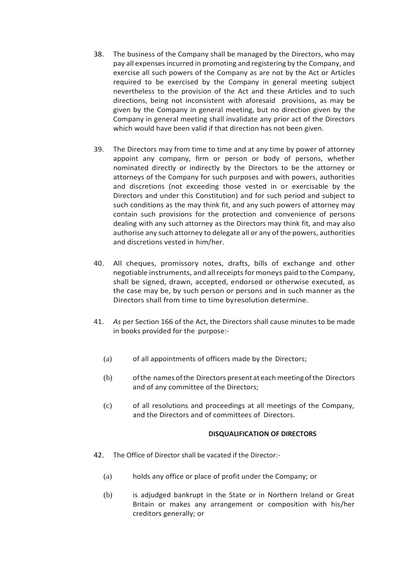- 38. The business of the Company shall be managed by the Directors, who may pay all expenses incurred in promoting and registering by the Company, and exercise all such powers of the Company as are not by the Act or Articles required to be exercised by the Company in general meeting subject nevertheless to the provision of the Act and these Articles and to such directions, being not inconsistent with aforesaid provisions, as may be given by the Company in general meeting, but no direction given by the Company in general meeting shall invalidate any prior act of the Directors which would have been valid if that direction has not been given.
- 39. The Directors may from time to time and at any time by power of attorney appoint any company, firm or person or body of persons, whether nominated directly or indirectly by the Directors to be the attorney or attorneys of the Company for such purposes and with powers, authorities and discretions (not exceeding those vested in or exercisable by the Directors and under this Constitution) and for such period and subject to such conditions as the may think fit, and any such powers of attorney may contain such provisions for the protection and convenience of persons dealing with any such attorney as the Directors may think fit, and may also authorise any such attorney to delegate all or any of the powers, authorities and discretions vested in him/her.
- 40. All cheques, promissory notes, drafts, bills of exchange and other negotiable instruments, and allreceiptsformoneys paid to the Company, shall be signed, drawn, accepted, endorsed or otherwise executed, as the case may be, by such person or persons and in such manner as the Directors shall from time to time byresolution determine.
- 41. *As* per Section 166 of the Act, the Directors shall cause minutes to be made in books provided for the purpose:-
	- (a) of all appointments of officers made by the Directors;
	- (b) of the names of the Directors present at each meeting of the Directors and of any committee of the Directors;
	- (c) of all resolutions and proceedings at all meetings of the Company, and the Directors and of committees of Directors.

## **DISQUALIFICATION OF DIRECTORS**

- 42. The Office of Director shall be vacated if the Director:-
	- (a) holds any office or place of profit under the Company; or
	- (b) is adjudged bankrupt in the State or in Northern Ireland or Great Britain or makes any arrangement or composition with his/her creditors generally; or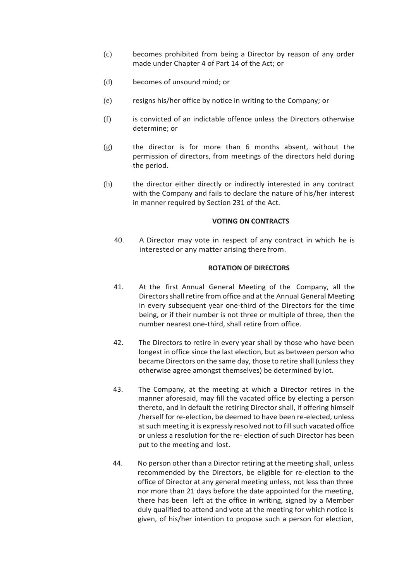- (c) becomes prohibited from being a Director by reason of any order made under Chapter 4 of Part 14 of the Act; or
- (d) becomes of unsound mind; or
- (e) resigns his/her office by notice in writing to the Company; or
- (f) is convicted of an indictable offence unless the Directors otherwise determine; or
- (g) the director is for more than 6 months absent, without the permission of directors, from meetings of the directors held during the period.
- (h) the director either directly or indirectly interested in any contract with the Company and fails to declare the nature of his/her interest in manner required by Section 231 of the Act.

#### **VOTING ON CONTRACTS**

40. A Director may vote in respect of any contract in which he is interested or any matter arising there from.

#### **ROTATION OF DIRECTORS**

- 41. At the first Annual General Meeting of the Company, all the Directorsshall retire from office and at the Annual General Meeting in every subsequent year one-third of the Directors for the time being, or if their number is not three or multiple of three, then the number nearest one-third, shall retire from office.
- 42. The Directors to retire in every year shall by those who have been longest in office since the last election, but as between person who became Directors on the same day, those to retire shall (unless they otherwise agree amongst themselves) be determined by lot.
- 43. The Company, at the meeting at which a Director retires in the manner aforesaid, may fill the vacated office by electing a person thereto, and in default the retiring Director shall, if offering himself /herself for re-election, be deemed to have been re-elected, unless at such meeting it is expressly resolved not to fill such vacated office or unless a resolution for the re- election of such Director has been put to the meeting and lost.
- 44. No person other than a Director retiring at the meeting shall, unless recommended by the Directors, be eligible for re-election to the office of Director at any general meeting unless, not less than three nor more than 21 days before the date appointed for the meeting, there has been left at the office in writing, signed by a Member duly qualified to attend and vote at the meeting for which notice is given, of his/her intention to propose such a person for election,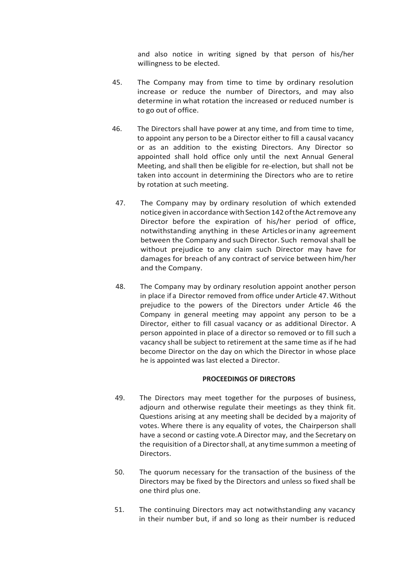and also notice in writing signed by that person of his/her willingness to be elected.

- 45. The Company may from time to time by ordinary resolution increase or reduce the number of Directors, and may also determine in what rotation the increased or reduced number is to go out of office.
- 46. The Directors shall have power at any time, and from time to time, to appoint any person to be a Director either to fill a causal vacancy or as an addition to the existing Directors. Any Director so appointed shall hold office only until the next Annual General Meeting, and shall then be eligible for re-election, but shall not be taken into account in determining the Directors who are to retire by rotation at such meeting.
- 47. The Company may by ordinary resolution of which extended notice given in accordance with Section 142 of the Act remove any Director before the expiration of his/her period of office, notwithstanding anything in these Articlesorinany agreement between the Company and such Director. Such removal shall be without prejudice to any claim such Director may have for damages for breach of any contract of service between him/her and the Company.
- 48. The Company may by ordinary resolution appoint another person in place if a Director removed from office under Article 47.Without prejudice to the powers of the Directors under Article 46 the Company in general meeting may appoint any person to be a Director, either to fill casual vacancy or as additional Director. A person appointed in place of a director so removed or to fill such a vacancy shall be subject to retirement at the same time as if he had become Director on the day on which the Director in whose place he is appointed was last elected a Director.

## **PROCEEDINGS OF DIRECTORS**

- 49. The Directors may meet together for the purposes of business, adjourn and otherwise regulate their meetings as they think fit. Questions arising at any meeting shall be decided by a majority of votes. Where there is any equality of votes, the Chairperson shall have a second or casting vote.A Director may, and the Secretary on the requisition of a Directorshall, at any time summon a meeting of Directors.
- 50. The quorum necessary for the transaction of the business of the Directors may be fixed by the Directors and unless so fixed shall be one third plus one.
- 51. The continuing Directors may act notwithstanding any vacancy in their number but, if and so long as their number is reduced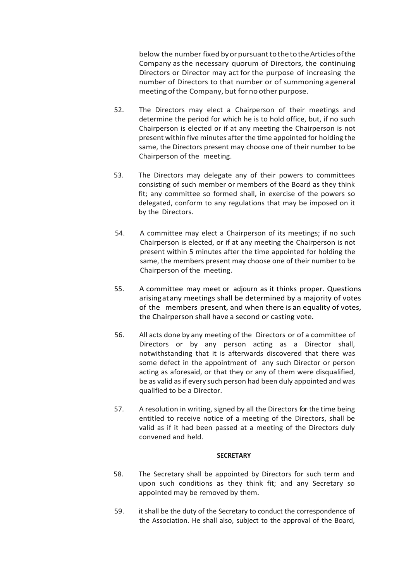below the number fixed by or pursuant to the to the Articles of the Company asthe necessary quorum of Directors, the continuing Directors or Director may act for the purpose of increasing the number of Directors to that number or of summoning a general meeting ofthe Company, but for no other purpose.

- 52. The Directors may elect a Chairperson of their meetings and determine the period for which he is to hold office, but, if no such Chairperson is elected or if at any meeting the Chairperson is not present within five minutes after the time appointed for holding the same, the Directors present may choose one of their number to be Chairperson of the meeting.
- 53. The Directors may delegate any of their powers to committees consisting of such member or members of the Board as they think fit; any committee so formed shall, in exercise of the powers so delegated, conform to any regulations that may be imposed on it by the Directors.
- 54. A committee may elect a Chairperson of its meetings; if no such Chairperson is elected, or if at any meeting the Chairperson is not present within 5 minutes after the time appointed for holding the same, the members present may choose one of their number to be Chairperson of the meeting.
- 55. A committee may meet or adjourn as it thinks proper. Questions arisingatany meetings shall be determined by a majority of votes of the members present, and when there is an equality of votes, the Chairperson shall have a second or casting vote.
- 56. All acts done by any meeting of the Directors or of a committee of Directors or by any person acting as a Director shall, notwithstanding that it is afterwards discovered that there was some defect in the appointment of any such Director or person acting as aforesaid, or that they or any of them were disqualified, be as valid as if every such person had been duly appointed and was qualified to be a Director.
- 57. A resolution in writing, signed by all the Directors for· the time being entitled to receive notice of a meeting of the Directors, shall be valid as if it had been passed at a meeting of the Directors duly convened and held.

## **SECRETARY**

- 58. The Secretary shall be appointed by Directors for such term and upon such conditions as they think fit; and any Secretary so appointed may be removed by them.
- 59. it shall be the duty of the Secretary to conduct the correspondence of the Association. He shall also, subject to the approval of the Board,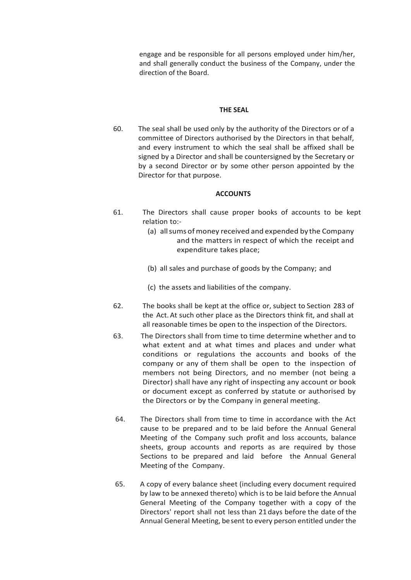engage and be responsible for all persons employed under him/her, and shall generally conduct the business of the Company, under the direction of the Board.

#### **THE SEAL**

60. The seal shall be used only by the authority of the Directors or of a committee of Directors authorised by the Directors in that behalf, and every instrument to which the seal shall be affixed shall be signed by a Director and shall be countersigned by the Secretary or by a second Director or by some other person appointed by the Director for that purpose.

#### **ACCOUNTS**

- 61. The Directors shall cause proper books of accounts to be kept relation to:-
	- (a) all sums of money received and expended by the Company and the matters in respect of which the receipt and expenditure takes place;
	- (b) all sales and purchase of goods by the Company; and
	- (c) the assets and liabilities of the company.
- 62. The books shall be kept at the office or, subject to Section 283 of the Act.At such other place as the Directors think fit, and shall at all reasonable times be open to the inspection of the Directors.
- 63. The Directors shall from time to time determine whether and to what extent and at what times and places and under what conditions or regulations the accounts and books of the company or any of them shall be open to the inspection of members not being Directors, and no member (not being a Director) shall have any right of inspecting any account or book or document except as conferred by statute or authorised by the Directors or by the Company in general meeting.
- 64. The Directors shall from time to time in accordance with the Act cause to be prepared and to be laid before the Annual General Meeting of the Company such profit and loss accounts, balance sheets, group accounts and reports as are required by those Sections to be prepared and laid before the Annual General Meeting of the Company.
- 65. A copy of every balance sheet (including every document required by law to be annexed thereto) which is to be laid before the Annual General Meeting of the Company together with a copy of the Directors' report shall not less than 21days before the date of the Annual General Meeting, besent to every person entitled under the